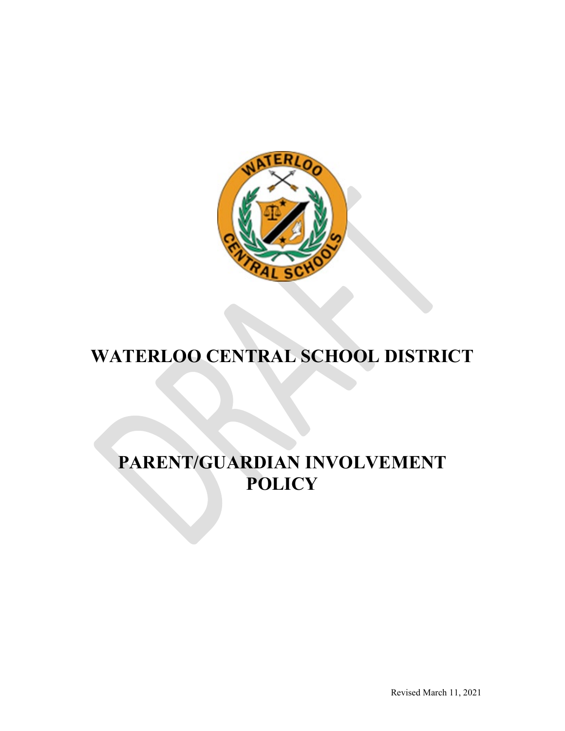

# **WATERLOO CENTRAL SCHOOL DISTRICT**

## **PARENT/GUARDIAN INVOLVEMENT POLICY**

Revised March 11, 2021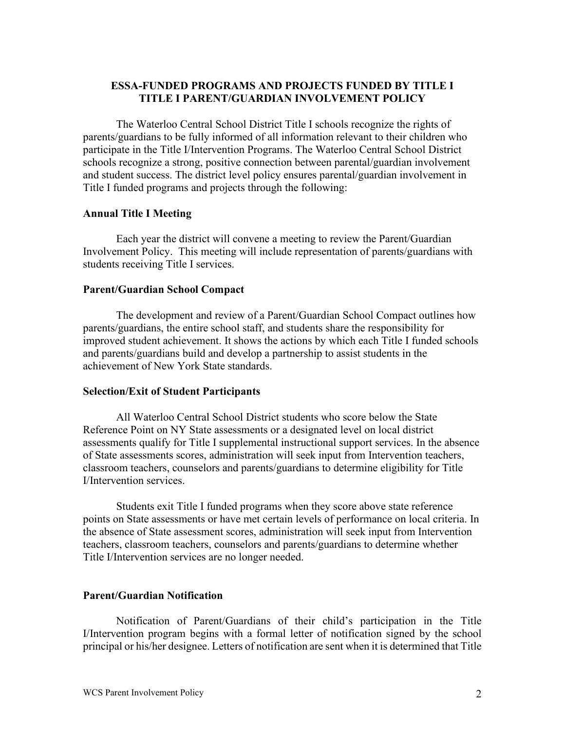## **ESSA-FUNDED PROGRAMS AND PROJECTS FUNDED BY TITLE I TITLE I PARENT/GUARDIAN INVOLVEMENT POLICY**

The Waterloo Central School District Title I schools recognize the rights of parents/guardians to be fully informed of all information relevant to their children who participate in the Title I/Intervention Programs. The Waterloo Central School District schools recognize a strong, positive connection between parental/guardian involvement and student success. The district level policy ensures parental/guardian involvement in Title I funded programs and projects through the following:

#### **Annual Title I Meeting**

Each year the district will convene a meeting to review the Parent/Guardian Involvement Policy. This meeting will include representation of parents/guardians with students receiving Title I services.

#### **Parent/Guardian School Compact**

The development and review of a Parent/Guardian School Compact outlines how parents/guardians, the entire school staff, and students share the responsibility for improved student achievement. It shows the actions by which each Title I funded schools and parents/guardians build and develop a partnership to assist students in the achievement of New York State standards.

#### **Selection/Exit of Student Participants**

All Waterloo Central School District students who score below the State Reference Point on NY State assessments or a designated level on local district assessments qualify for Title I supplemental instructional support services. In the absence of State assessments scores, administration will seek input from Intervention teachers, classroom teachers, counselors and parents/guardians to determine eligibility for Title I/Intervention services.

Students exit Title I funded programs when they score above state reference points on State assessments or have met certain levels of performance on local criteria. In the absence of State assessment scores, administration will seek input from Intervention teachers, classroom teachers, counselors and parents/guardians to determine whether Title I/Intervention services are no longer needed.

#### **Parent/Guardian Notification**

Notification of Parent/Guardians of their child's participation in the Title I/Intervention program begins with a formal letter of notification signed by the school principal or his/her designee. Letters of notification are sent when it is determined that Title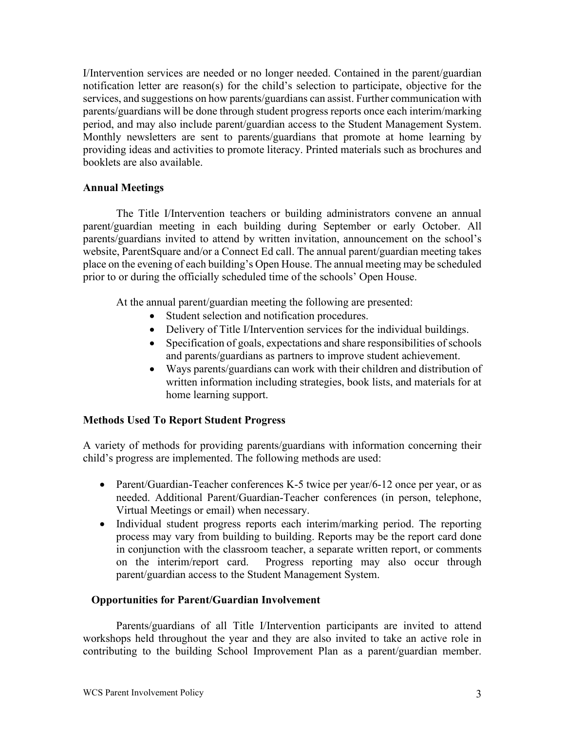I/Intervention services are needed or no longer needed. Contained in the parent/guardian notification letter are reason(s) for the child's selection to participate, objective for the services, and suggestions on how parents/guardians can assist. Further communication with parents/guardians will be done through student progress reports once each interim/marking period, and may also include parent/guardian access to the Student Management System. Monthly newsletters are sent to parents/guardians that promote at home learning by providing ideas and activities to promote literacy. Printed materials such as brochures and booklets are also available.

### **Annual Meetings**

The Title I/Intervention teachers or building administrators convene an annual parent/guardian meeting in each building during September or early October. All parents/guardians invited to attend by written invitation, announcement on the school's website, ParentSquare and/or a Connect Ed call. The annual parent/guardian meeting takes place on the evening of each building's Open House. The annual meeting may be scheduled prior to or during the officially scheduled time of the schools' Open House.

At the annual parent/guardian meeting the following are presented:

- Student selection and notification procedures.
- Delivery of Title I/Intervention services for the individual buildings.
- Specification of goals, expectations and share responsibilities of schools and parents/guardians as partners to improve student achievement.
- Ways parents/guardians can work with their children and distribution of written information including strategies, book lists, and materials for at home learning support.

## **Methods Used To Report Student Progress**

A variety of methods for providing parents/guardians with information concerning their child's progress are implemented. The following methods are used:

- Parent/Guardian-Teacher conferences K-5 twice per year/6-12 once per year, or as needed. Additional Parent/Guardian-Teacher conferences (in person, telephone, Virtual Meetings or email) when necessary.
- Individual student progress reports each interim/marking period. The reporting process may vary from building to building. Reports may be the report card done in conjunction with the classroom teacher, a separate written report, or comments on the interim/report card. Progress reporting may also occur through parent/guardian access to the Student Management System.

## **Opportunities for Parent/Guardian Involvement**

Parents/guardians of all Title I/Intervention participants are invited to attend workshops held throughout the year and they are also invited to take an active role in contributing to the building School Improvement Plan as a parent/guardian member.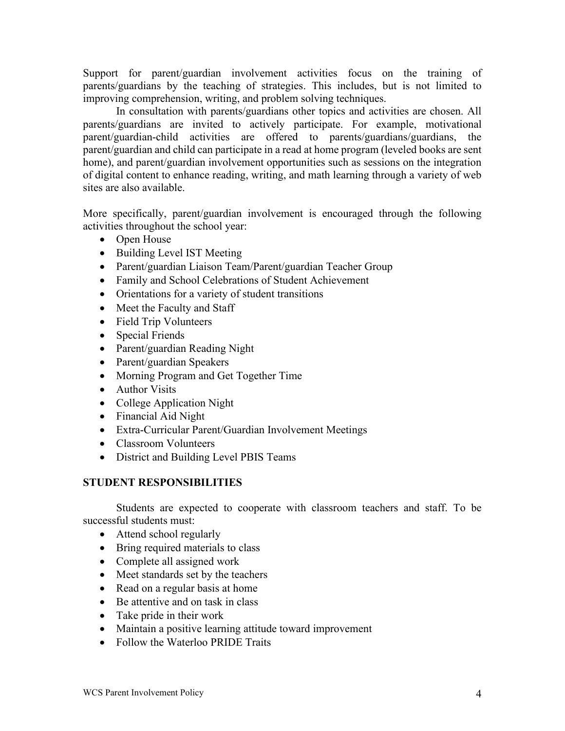Support for parent/guardian involvement activities focus on the training of parents/guardians by the teaching of strategies. This includes, but is not limited to improving comprehension, writing, and problem solving techniques.

In consultation with parents/guardians other topics and activities are chosen. All parents/guardians are invited to actively participate. For example, motivational parent/guardian-child activities are offered to parents/guardians/guardians, the parent/guardian and child can participate in a read at home program (leveled books are sent home), and parent/guardian involvement opportunities such as sessions on the integration of digital content to enhance reading, writing, and math learning through a variety of web sites are also available.

More specifically, parent/guardian involvement is encouraged through the following activities throughout the school year:

- Open House
- Building Level IST Meeting
- Parent/guardian Liaison Team/Parent/guardian Teacher Group
- Family and School Celebrations of Student Achievement
- Orientations for a variety of student transitions
- Meet the Faculty and Staff
- Field Trip Volunteers
- Special Friends
- Parent/guardian Reading Night
- Parent/guardian Speakers
- Morning Program and Get Together Time
- Author Visits
- College Application Night
- Financial Aid Night
- Extra-Curricular Parent/Guardian Involvement Meetings
- Classroom Volunteers
- District and Building Level PBIS Teams

## **STUDENT RESPONSIBILITIES**

Students are expected to cooperate with classroom teachers and staff. To be successful students must:

- Attend school regularly
- Bring required materials to class
- Complete all assigned work
- Meet standards set by the teachers
- Read on a regular basis at home
- Be attentive and on task in class
- Take pride in their work
- Maintain a positive learning attitude toward improvement
- Follow the Waterloo PRIDE Traits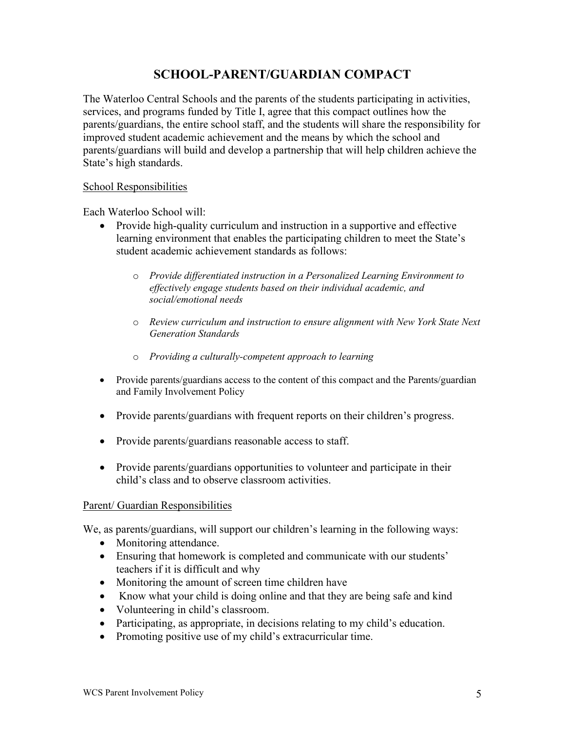## **SCHOOL-PARENT/GUARDIAN COMPACT**

The Waterloo Central Schools and the parents of the students participating in activities, services, and programs funded by Title I, agree that this compact outlines how the parents/guardians, the entire school staff, and the students will share the responsibility for improved student academic achievement and the means by which the school and parents/guardians will build and develop a partnership that will help children achieve the State's high standards.

#### School Responsibilities

Each Waterloo School will:

- Provide high-quality curriculum and instruction in a supportive and effective learning environment that enables the participating children to meet the State's student academic achievement standards as follows:
	- o *Provide differentiated instruction in a Personalized Learning Environment to effectively engage students based on their individual academic, and social/emotional needs*
	- o *Review curriculum and instruction to ensure alignment with New York State Next Generation Standards*
	- o *Providing a culturally-competent approach to learning*
- Provide parents/guardians access to the content of this compact and the Parents/guardian and Family Involvement Policy
- Provide parents/guardians with frequent reports on their children's progress.
- Provide parents/guardians reasonable access to staff.
- Provide parents/guardians opportunities to volunteer and participate in their child's class and to observe classroom activities.

#### Parent/ Guardian Responsibilities

We, as parents/guardians, will support our children's learning in the following ways:

- Monitoring attendance.
- Ensuring that homework is completed and communicate with our students' teachers if it is difficult and why
- Monitoring the amount of screen time children have
- Know what your child is doing online and that they are being safe and kind
- Volunteering in child's classroom.
- Participating, as appropriate, in decisions relating to my child's education.
- Promoting positive use of my child's extracurricular time.